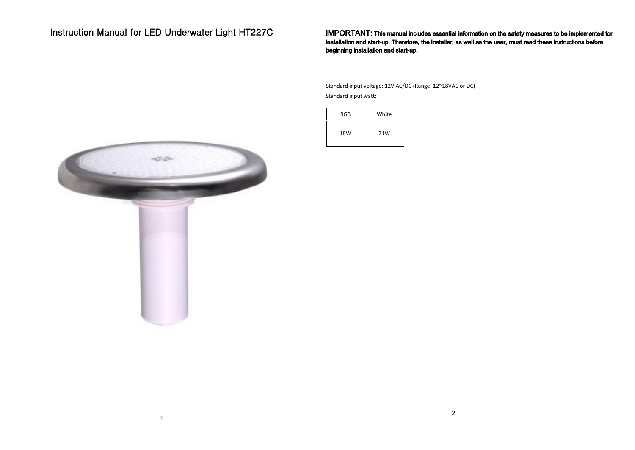# Instruction Manual for LED Underwater Light HT227C

IMPORTANT: This manual includes essential information on the safety measures to be implemented for installation and start-up. Therefore, the installer, as well as the user, must read these instructions before beginning installation and start-up.

### Technical Specification

Standard input voltage: 12V AC/DC (Range: 12~18VAC or DC) Standard input watt:



Use life: 60,000 hours

16 programs with Synchronization capability

## Dimensions:



1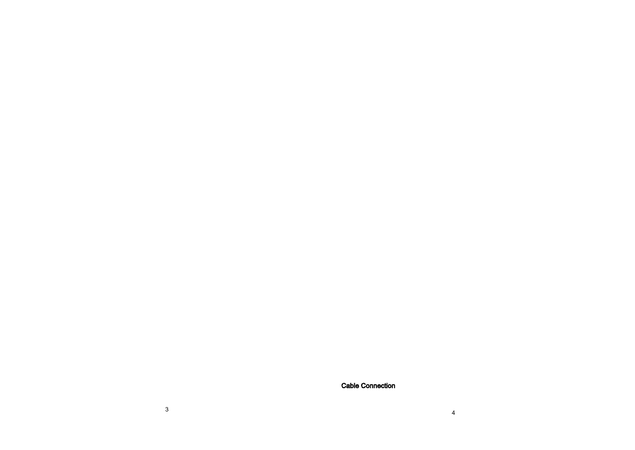Cable Connection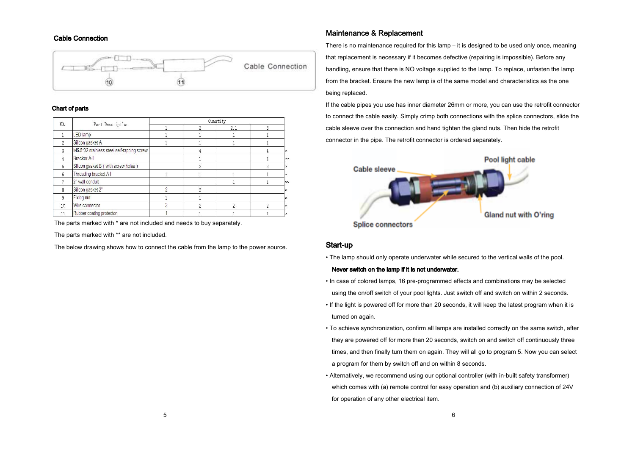

### Chart of parts

| NO.            | Part Description                           | Quantity |                |     |   |     |
|----------------|--------------------------------------------|----------|----------------|-----|---|-----|
|                |                                            |          | 2              | 2.1 | 3 |     |
|                | <b>LED</b> lamp                            |          |                |     |   |     |
| $\overline{c}$ | Silicon gasket A                           |          |                |     |   |     |
| 3              | M5.5*32 stainless steel self-tapping screw |          |                |     |   | l∗  |
| $\overline{4}$ | Bracker A-II                               |          |                |     |   | **  |
| 5              | Silicon gasket B (with screw holes)        |          | 2              |     | 2 | l∗  |
| 6              | Threading bracket A-I                      |          |                |     |   | l*  |
|                | 2" wall conduit                            |          |                |     |   | **  |
| 8              | Silicon gasket 2"                          |          | $\overline{2}$ |     |   | l*  |
| 9              | Fixing nut                                 |          |                |     |   | l*  |
| 10             | Wire connector                             |          | 2              | 2   | 2 | lж. |
| 11             | Rubber coating protector                   |          |                |     |   | l:k |

The parts marked with \* are not included and needs to buy separately.

The parts marked with \*\* are not included.

The below drawing shows how to connect the cable from the lamp to the power source.

# Maintenance & Replacement Cable Connection

There is no maintenance required for this lamp – it is designed to be used only once, meaning that replacement is necessary if it becomes defective (repairing is impossible). Before any handling, ensure that there is NO voltage supplied to the lamp. To replace, unfasten the lamp from the bracket. Ensure the new lamp is of the same model and characteristics as the one being replaced.

If the cable pipes you use has inner diameter 26mm or more, you can use the retrofit connector to connect the cable easily. Simply crimp both connections with the splice connectors, slide the cable sleeve over the connection and hand tighten the gland nuts. Then hide the retrofit connector in the pipe. The retrofit connector is ordered separately.



### Start-up

• The lamp should only operate underwater while secured to the vertical walls of the pool.

#### Never switch on the lamp if it is not underwater.

- In case of colored lamps, 16 pre-programmed effects and combinations may be selected using the on/off switch of your pool lights. Just switch off and switch on within 2 seconds.
- If the light is powered off for more than 20 seconds, it will keep the latest program when it is turned on again.
- To achieve synchronization, confirm all lamps are installed correctly on the same switch, after they are powered off for more than 20 seconds, switch on and switch off continuously three times, and then finally turn them on again. They will all go to program 5. Now you can select a program for them by switch off and on within 8 seconds.
- Alternatively, we recommend using our optional controller (with in-built safety transformer) which comes with (a) remote control for easy operation and (b) auxiliary connection of 24V for operation of any other electrical item.